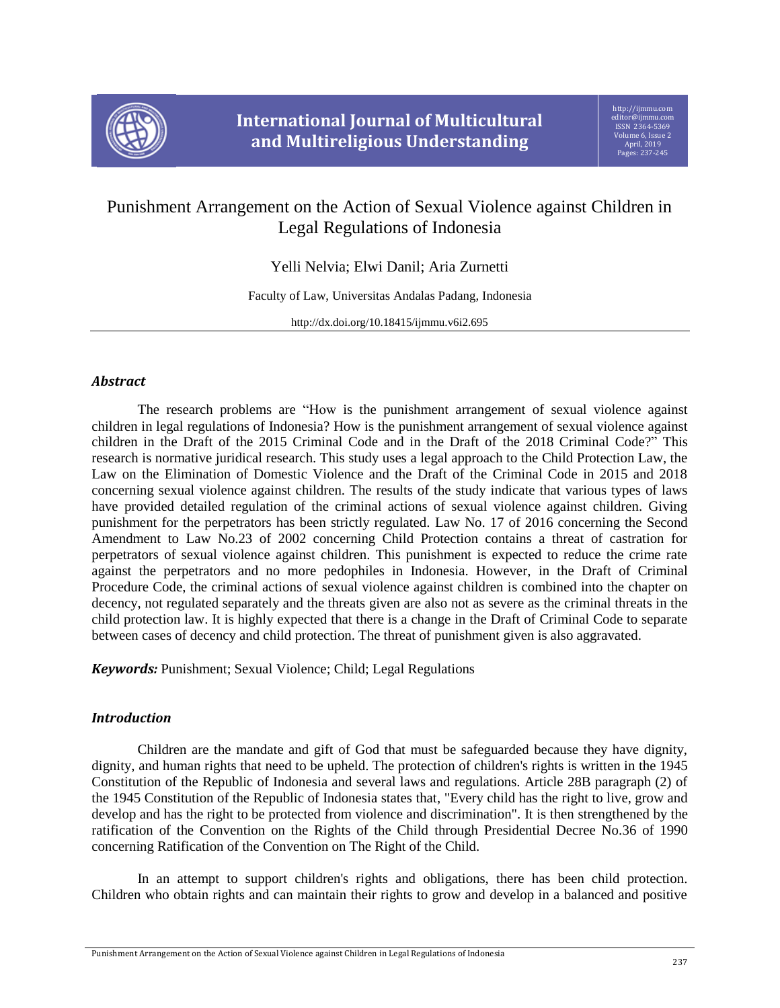

# Punishment Arrangement on the Action of Sexual Violence against Children in Legal Regulations of Indonesia

Yelli Nelvia; Elwi Danil; Aria Zurnetti

Faculty of Law, Universitas Andalas Padang, Indonesia 6

<http://dx.doi.org/10.18415/ijmmu.v6i2.695>

# *Abstract*

The research problems are "How is the punishment arrangement of sexual violence against children in legal regulations of Indonesia? How is the punishment arrangement of sexual violence against children in the Draft of the 2015 Criminal Code and in the Draft of the 2018 Criminal Code?" This research is normative juridical research. This study uses a legal approach to the Child Protection Law, the Law on the Elimination of Domestic Violence and the Draft of the Criminal Code in 2015 and 2018 concerning sexual violence against children. The results of the study indicate that various types of laws have provided detailed regulation of the criminal actions of sexual violence against children. Giving punishment for the perpetrators has been strictly regulated. Law No. 17 of 2016 concerning the Second Amendment to Law No.23 of 2002 concerning Child Protection contains a threat of castration for perpetrators of sexual violence against children. This punishment is expected to reduce the crime rate against the perpetrators and no more pedophiles in Indonesia. However, in the Draft of Criminal Procedure Code, the criminal actions of sexual violence against children is combined into the chapter on decency, not regulated separately and the threats given are also not as severe as the criminal threats in the child protection law. It is highly expected that there is a change in the Draft of Criminal Code to separate between cases of decency and child protection. The threat of punishment given is also aggravated.

*Keywords:* Punishment; Sexual Violence; Child; Legal Regulations

# *Introduction*

Children are the mandate and gift of God that must be safeguarded because they have dignity, dignity, and human rights that need to be upheld. The protection of children's rights is written in the 1945 Constitution of the Republic of Indonesia and several laws and regulations. Article 28B paragraph (2) of the 1945 Constitution of the Republic of Indonesia states that, "Every child has the right to live, grow and develop and has the right to be protected from violence and discrimination". It is then strengthened by the ratification of the Convention on the Rights of the Child through Presidential Decree No.36 of 1990 concerning Ratification of the Convention on The Right of the Child.

In an attempt to support children's rights and obligations, there has been child protection. Children who obtain rights and can maintain their rights to grow and develop in a balanced and positive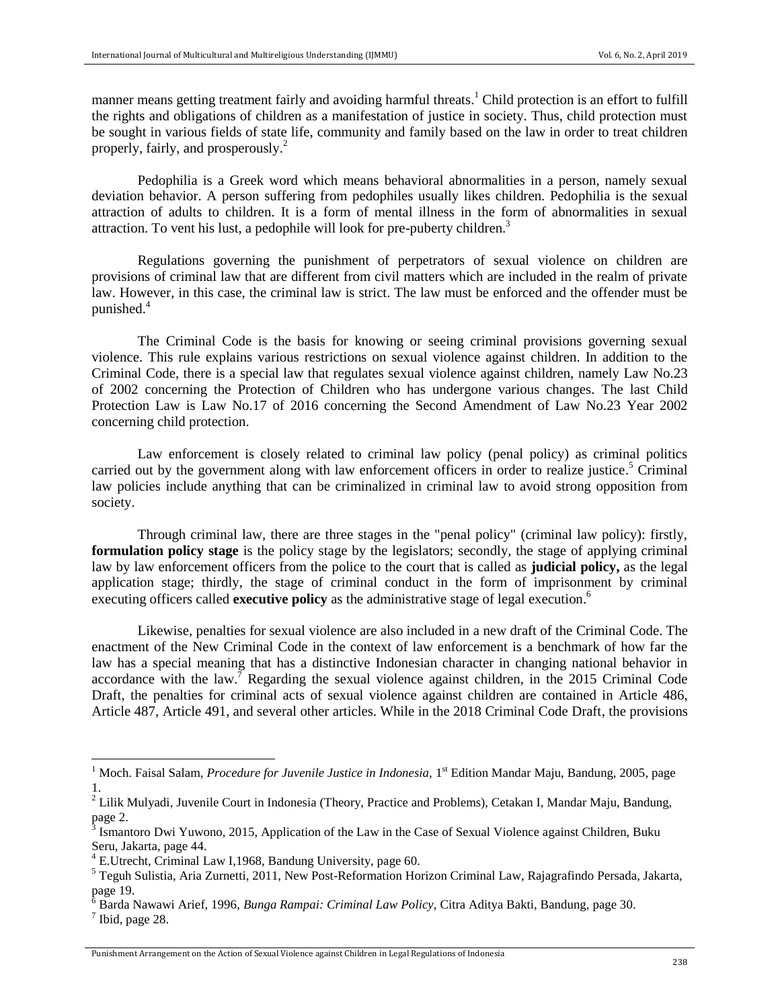manner means getting treatment fairly and avoiding harmful threats.<sup>1</sup> Child protection is an effort to fulfill the rights and obligations of children as a manifestation of justice in society. Thus, child protection must be sought in various fields of state life, community and family based on the law in order to treat children properly, fairly, and prosperously. 2

Pedophilia is a Greek word which means behavioral abnormalities in a person, namely sexual deviation behavior. A person suffering from pedophiles usually likes children. Pedophilia is the sexual attraction of adults to children. It is a form of mental illness in the form of abnormalities in sexual attraction. To vent his lust, a pedophile will look for pre-puberty children.<sup>3</sup>

Regulations governing the punishment of perpetrators of sexual violence on children are provisions of criminal law that are different from civil matters which are included in the realm of private law. However, in this case, the criminal law is strict. The law must be enforced and the offender must be punished. 4

The Criminal Code is the basis for knowing or seeing criminal provisions governing sexual violence. This rule explains various restrictions on sexual violence against children. In addition to the Criminal Code, there is a special law that regulates sexual violence against children, namely Law No.23 of 2002 concerning the Protection of Children who has undergone various changes. The last Child Protection Law is Law No.17 of 2016 concerning the Second Amendment of Law No.23 Year 2002 concerning child protection.

Law enforcement is closely related to criminal law policy (penal policy) as criminal politics carried out by the government along with law enforcement officers in order to realize justice.<sup>5</sup> Criminal law policies include anything that can be criminalized in criminal law to avoid strong opposition from society.

Through criminal law, there are three stages in the "penal policy" (criminal law policy): firstly, **formulation policy stage** is the policy stage by the legislators; secondly, the stage of applying criminal law by law enforcement officers from the police to the court that is called as **judicial policy,** as the legal application stage; thirdly, the stage of criminal conduct in the form of imprisonment by criminal executing officers called **executive policy** as the administrative stage of legal execution.<sup>6</sup>

Likewise, penalties for sexual violence are also included in a new draft of the Criminal Code. The enactment of the New Criminal Code in the context of law enforcement is a benchmark of how far the law has a special meaning that has a distinctive Indonesian character in changing national behavior in accordance with the law.<sup>7</sup> Regarding the sexual violence against children, in the 2015 Criminal Code Draft, the penalties for criminal acts of sexual violence against children are contained in Article 486, Article 487, Article 491, and several other articles. While in the 2018 Criminal Code Draft, the provisions

 $\overline{\phantom{a}}$ 

<sup>&</sup>lt;sup>1</sup> Moch. Faisal Salam, *Procedure for Juvenile Justice in Indonesia*, 1<sup>st</sup> Edition Mandar Maju, Bandung, 2005, page 1.

<sup>2</sup> Lilik Mulyadi, Juvenile Court in Indonesia (Theory, Practice and Problems), Cetakan I, Mandar Maju, Bandung, page 2.

 $3 \text{ Ismantoro Dwi Yuwono}, 2015, Application of the Law in the Case of Sexual Violence against Children, Buku.$ Seru, Jakarta, page 44.

<sup>4</sup> E.Utrecht, Criminal Law I,1968, Bandung University, page 60.

<sup>5</sup> Teguh Sulistia, Aria Zurnetti, 2011, New Post-Reformation Horizon Criminal Law, Rajagrafindo Persada, Jakarta, page 19.

<sup>6</sup> Barda Nawawi Arief, 1996, *Bunga Rampai: Criminal Law Policy,* Citra Aditya Bakti, Bandung, page 30.  $<sup>7</sup>$  Ibid, page 28.</sup>

Punishment Arrangement on the Action of Sexual Violence against Children in Legal Regulations of Indonesia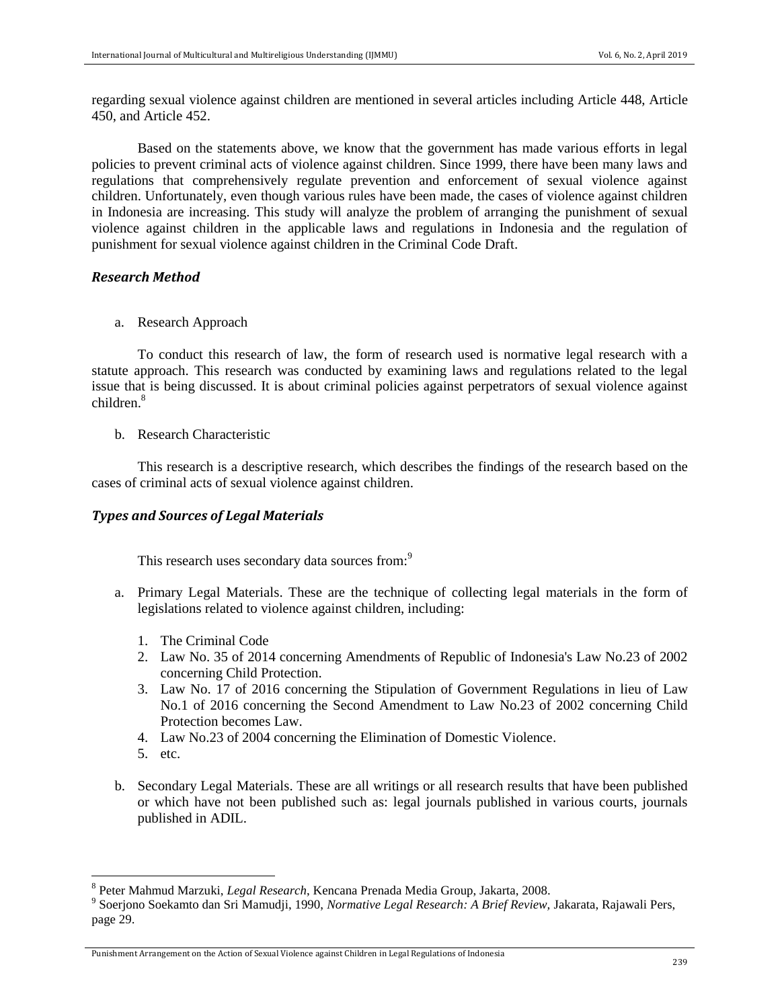regarding sexual violence against children are mentioned in several articles including Article 448, Article 450, and Article 452.

Based on the statements above, we know that the government has made various efforts in legal policies to prevent criminal acts of violence against children. Since 1999, there have been many laws and regulations that comprehensively regulate prevention and enforcement of sexual violence against children. Unfortunately, even though various rules have been made, the cases of violence against children in Indonesia are increasing. This study will analyze the problem of arranging the punishment of sexual violence against children in the applicable laws and regulations in Indonesia and the regulation of punishment for sexual violence against children in the Criminal Code Draft.

#### *Research Method*

a. Research Approach

To conduct this research of law, the form of research used is normative legal research with a statute approach. This research was conducted by examining laws and regulations related to the legal issue that is being discussed. It is about criminal policies against perpetrators of sexual violence against children. 8

b. Research Characteristic

This research is a descriptive research, which describes the findings of the research based on the cases of criminal acts of sexual violence against children.

#### *Types and Sources of Legal Materials*

This research uses secondary data sources from:<sup>9</sup>

- a. Primary Legal Materials. These are the technique of collecting legal materials in the form of legislations related to violence against children, including:
	- 1. The Criminal Code
	- 2. Law No. 35 of 2014 concerning Amendments of Republic of Indonesia's Law No.23 of 2002 concerning Child Protection.
	- 3. Law No. 17 of 2016 concerning the Stipulation of Government Regulations in lieu of Law No.1 of 2016 concerning the Second Amendment to Law No.23 of 2002 concerning Child Protection becomes Law.
	- 4. Law No.23 of 2004 concerning the Elimination of Domestic Violence.
	- 5. etc.

 $\overline{a}$ 

b. Secondary Legal Materials. These are all writings or all research results that have been published or which have not been published such as: legal journals published in various courts, journals published in ADIL.

<sup>8</sup> Peter Mahmud Marzuki, *Legal Research*, Kencana Prenada Media Group, Jakarta, 2008.

<sup>9</sup> Soerjono Soekamto dan Sri Mamudji, 1990, *Normative Legal Research: A Brief Review,* Jakarata, Rajawali Pers, page 29.

Punishment Arrangement on the Action of Sexual Violence against Children in Legal Regulations of Indonesia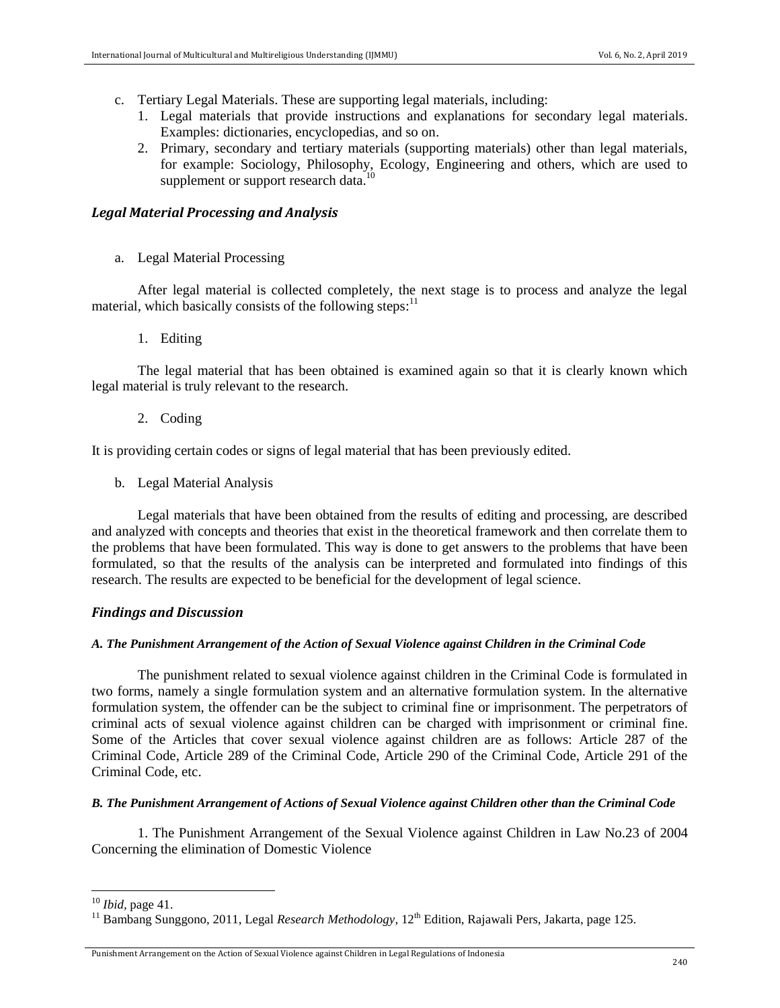- c. Tertiary Legal Materials. These are supporting legal materials, including:
	- 1. Legal materials that provide instructions and explanations for secondary legal materials. Examples: dictionaries, encyclopedias, and so on.
	- 2. Primary, secondary and tertiary materials (supporting materials) other than legal materials, for example: Sociology, Philosophy, Ecology, Engineering and others, which are used to supplement or support research data.<sup>10</sup>

## *Legal Material Processing and Analysis*

a. Legal Material Processing

After legal material is collected completely, the next stage is to process and analyze the legal material, which basically consists of the following steps:<sup>11</sup>

1. Editing

The legal material that has been obtained is examined again so that it is clearly known which legal material is truly relevant to the research.

2. Coding

It is providing certain codes or signs of legal material that has been previously edited.

b. Legal Material Analysis

Legal materials that have been obtained from the results of editing and processing, are described and analyzed with concepts and theories that exist in the theoretical framework and then correlate them to the problems that have been formulated. This way is done to get answers to the problems that have been formulated, so that the results of the analysis can be interpreted and formulated into findings of this research. The results are expected to be beneficial for the development of legal science.

## *Findings and Discussion*

#### *A. The Punishment Arrangement of the Action of Sexual Violence against Children in the Criminal Code*

The punishment related to sexual violence against children in the Criminal Code is formulated in two forms, namely a single formulation system and an alternative formulation system. In the alternative formulation system, the offender can be the subject to criminal fine or imprisonment. The perpetrators of criminal acts of sexual violence against children can be charged with imprisonment or criminal fine. Some of the Articles that cover sexual violence against children are as follows: Article 287 of the Criminal Code, Article 289 of the Criminal Code, Article 290 of the Criminal Code, Article 291 of the Criminal Code, etc.

#### *B. The Punishment Arrangement of Actions of Sexual Violence against Children other than the Criminal Code*

1. The Punishment Arrangement of the Sexual Violence against Children in Law No.23 of 2004 Concerning the elimination of Domestic Violence

 $\overline{\phantom{a}}$ 

<sup>10</sup> *Ibid,* page 41.

<sup>&</sup>lt;sup>11</sup> Bambang Sunggono, 2011, Legal *Research Methodology*, 12<sup>th</sup> Edition, Rajawali Pers, Jakarta, page 125.

Punishment Arrangement on the Action of Sexual Violence against Children in Legal Regulations of Indonesia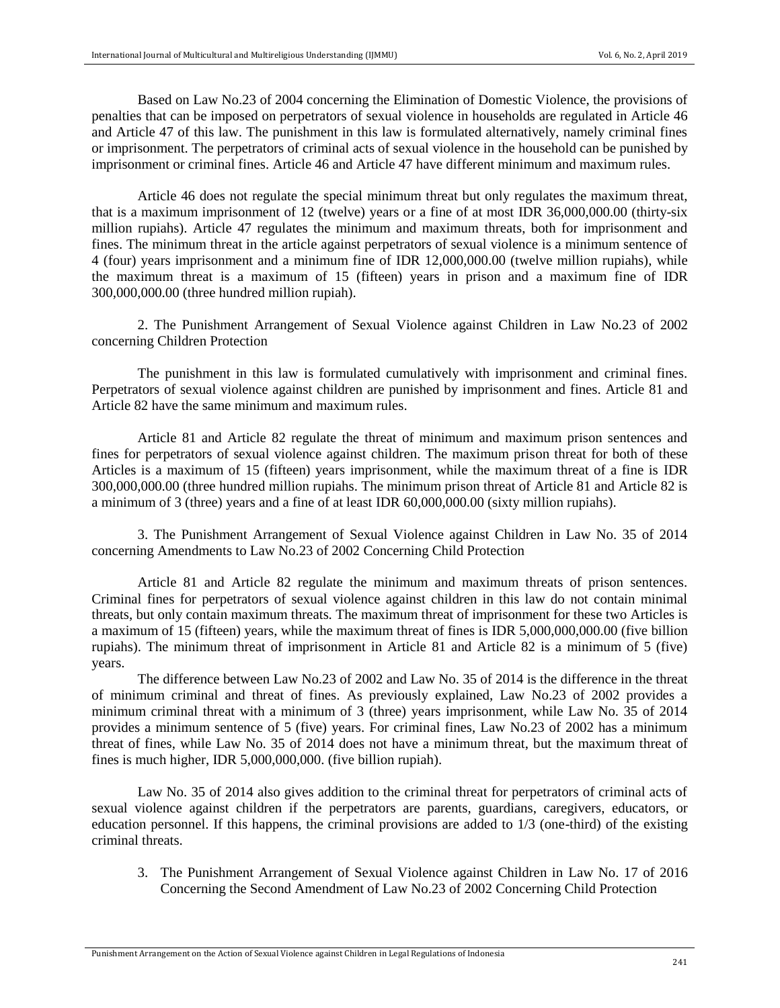Based on Law No.23 of 2004 concerning the Elimination of Domestic Violence, the provisions of penalties that can be imposed on perpetrators of sexual violence in households are regulated in Article 46 and Article 47 of this law. The punishment in this law is formulated alternatively, namely criminal fines or imprisonment. The perpetrators of criminal acts of sexual violence in the household can be punished by imprisonment or criminal fines. Article 46 and Article 47 have different minimum and maximum rules.

Article 46 does not regulate the special minimum threat but only regulates the maximum threat, that is a maximum imprisonment of 12 (twelve) years or a fine of at most IDR 36,000,000.00 (thirty-six million rupiahs). Article 47 regulates the minimum and maximum threats, both for imprisonment and fines. The minimum threat in the article against perpetrators of sexual violence is a minimum sentence of 4 (four) years imprisonment and a minimum fine of IDR 12,000,000.00 (twelve million rupiahs), while the maximum threat is a maximum of 15 (fifteen) years in prison and a maximum fine of IDR 300,000,000.00 (three hundred million rupiah).

2. The Punishment Arrangement of Sexual Violence against Children in Law No.23 of 2002 concerning Children Protection

The punishment in this law is formulated cumulatively with imprisonment and criminal fines. Perpetrators of sexual violence against children are punished by imprisonment and fines. Article 81 and Article 82 have the same minimum and maximum rules.

Article 81 and Article 82 regulate the threat of minimum and maximum prison sentences and fines for perpetrators of sexual violence against children. The maximum prison threat for both of these Articles is a maximum of 15 (fifteen) years imprisonment, while the maximum threat of a fine is IDR 300,000,000.00 (three hundred million rupiahs. The minimum prison threat of Article 81 and Article 82 is a minimum of 3 (three) years and a fine of at least IDR 60,000,000.00 (sixty million rupiahs).

3. The Punishment Arrangement of Sexual Violence against Children in Law No. 35 of 2014 concerning Amendments to Law No.23 of 2002 Concerning Child Protection

Article 81 and Article 82 regulate the minimum and maximum threats of prison sentences. Criminal fines for perpetrators of sexual violence against children in this law do not contain minimal threats, but only contain maximum threats. The maximum threat of imprisonment for these two Articles is a maximum of 15 (fifteen) years, while the maximum threat of fines is IDR 5,000,000,000.00 (five billion rupiahs). The minimum threat of imprisonment in Article 81 and Article 82 is a minimum of 5 (five) years.

The difference between Law No.23 of 2002 and Law No. 35 of 2014 is the difference in the threat of minimum criminal and threat of fines. As previously explained, Law No.23 of 2002 provides a minimum criminal threat with a minimum of 3 (three) years imprisonment, while Law No. 35 of 2014 provides a minimum sentence of 5 (five) years. For criminal fines, Law No.23 of 2002 has a minimum threat of fines, while Law No. 35 of 2014 does not have a minimum threat, but the maximum threat of fines is much higher, IDR 5,000,000,000. (five billion rupiah).

Law No. 35 of 2014 also gives addition to the criminal threat for perpetrators of criminal acts of sexual violence against children if the perpetrators are parents, guardians, caregivers, educators, or education personnel. If this happens, the criminal provisions are added to 1/3 (one-third) of the existing criminal threats.

3. The Punishment Arrangement of Sexual Violence against Children in Law No. 17 of 2016 Concerning the Second Amendment of Law No.23 of 2002 Concerning Child Protection

Punishment Arrangement on the Action of Sexual Violence against Children in Legal Regulations of Indonesia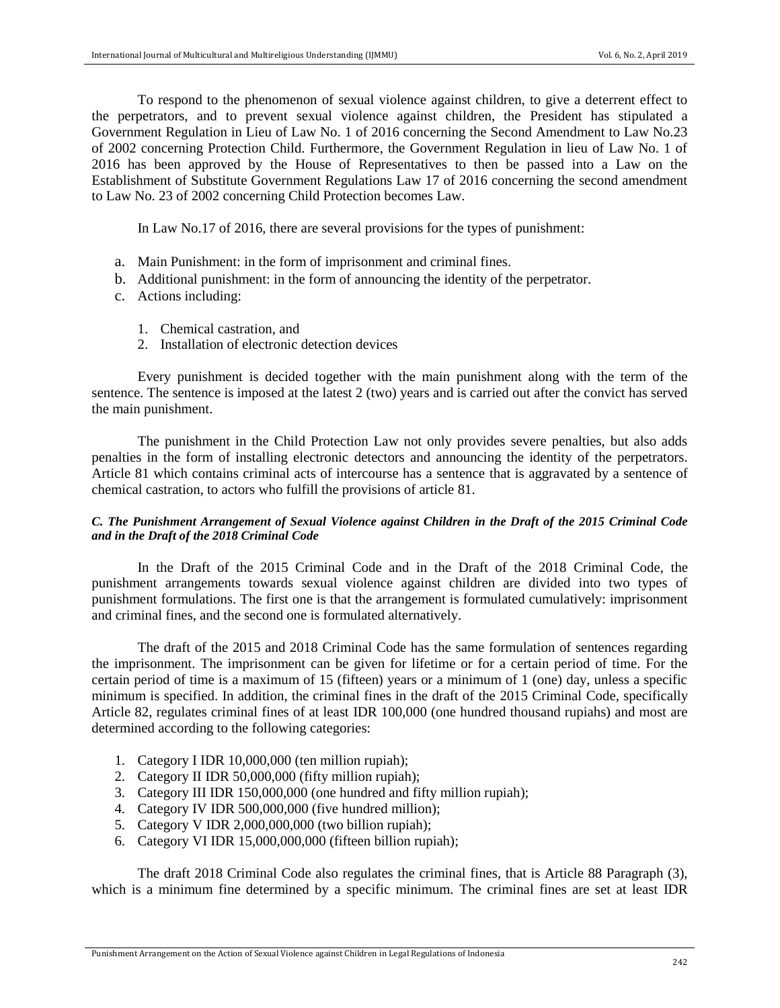To respond to the phenomenon of sexual violence against children, to give a deterrent effect to the perpetrators, and to prevent sexual violence against children, the President has stipulated a Government Regulation in Lieu of Law No. 1 of 2016 concerning the Second Amendment to Law No.23 of 2002 concerning Protection Child. Furthermore, the Government Regulation in lieu of Law No. 1 of 2016 has been approved by the House of Representatives to then be passed into a Law on the Establishment of Substitute Government Regulations Law 17 of 2016 concerning the second amendment to Law No. 23 of 2002 concerning Child Protection becomes Law.

In Law No.17 of 2016, there are several provisions for the types of punishment:

- a. Main Punishment: in the form of imprisonment and criminal fines.
- b. Additional punishment: in the form of announcing the identity of the perpetrator.
- c. Actions including:
	- 1. Chemical castration, and
	- 2. Installation of electronic detection devices

Every punishment is decided together with the main punishment along with the term of the sentence. The sentence is imposed at the latest 2 (two) years and is carried out after the convict has served the main punishment.

The punishment in the Child Protection Law not only provides severe penalties, but also adds penalties in the form of installing electronic detectors and announcing the identity of the perpetrators. Article 81 which contains criminal acts of intercourse has a sentence that is aggravated by a sentence of chemical castration, to actors who fulfill the provisions of article 81.

#### *C. The Punishment Arrangement of Sexual Violence against Children in the Draft of the 2015 Criminal Code and in the Draft of the 2018 Criminal Code*

In the Draft of the 2015 Criminal Code and in the Draft of the 2018 Criminal Code, the punishment arrangements towards sexual violence against children are divided into two types of punishment formulations. The first one is that the arrangement is formulated cumulatively: imprisonment and criminal fines, and the second one is formulated alternatively.

The draft of the 2015 and 2018 Criminal Code has the same formulation of sentences regarding the imprisonment. The imprisonment can be given for lifetime or for a certain period of time. For the certain period of time is a maximum of 15 (fifteen) years or a minimum of 1 (one) day, unless a specific minimum is specified. In addition, the criminal fines in the draft of the 2015 Criminal Code, specifically Article 82, regulates criminal fines of at least IDR 100,000 (one hundred thousand rupiahs) and most are determined according to the following categories:

- 1. Category I IDR 10,000,000 (ten million rupiah);
- 2. Category II IDR 50,000,000 (fifty million rupiah);
- 3. Category III IDR 150,000,000 (one hundred and fifty million rupiah);
- 4. Category IV IDR 500,000,000 (five hundred million);
- 5. Category V IDR 2,000,000,000 (two billion rupiah);
- 6. Category VI IDR 15,000,000,000 (fifteen billion rupiah);

The draft 2018 Criminal Code also regulates the criminal fines, that is Article 88 Paragraph (3), which is a minimum fine determined by a specific minimum. The criminal fines are set at least IDR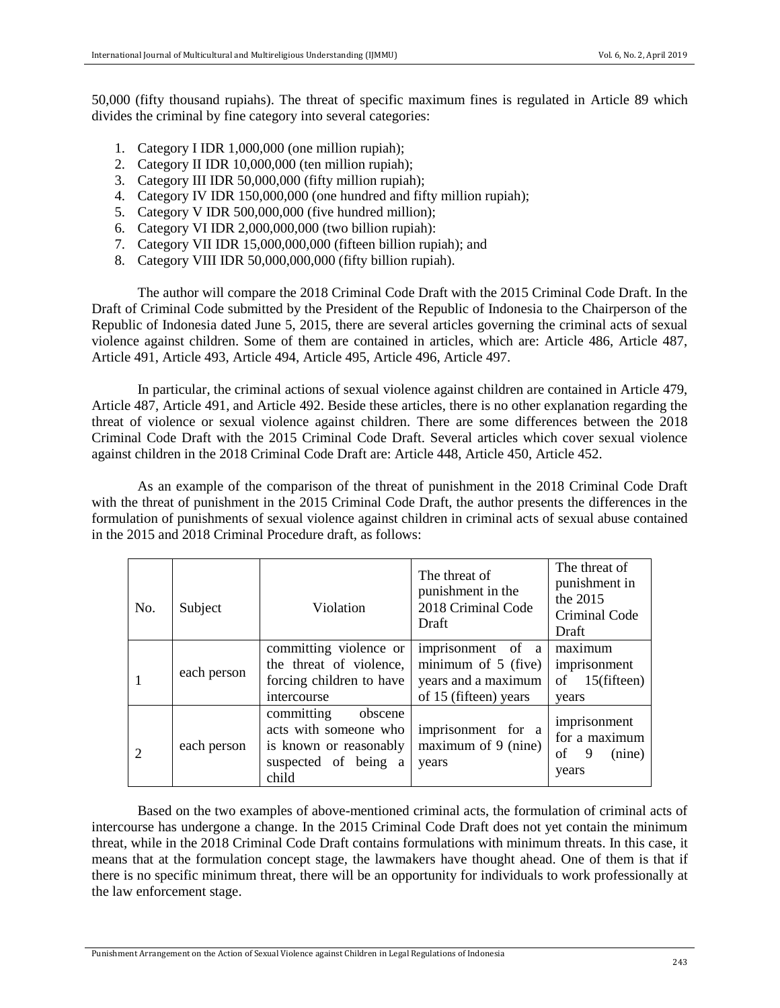50,000 (fifty thousand rupiahs). The threat of specific maximum fines is regulated in Article 89 which divides the criminal by fine category into several categories:

- 1. Category I IDR 1,000,000 (one million rupiah);
- 2. Category II IDR 10,000,000 (ten million rupiah);
- 3. Category III IDR 50,000,000 (fifty million rupiah);
- 4. Category IV IDR 150,000,000 (one hundred and fifty million rupiah);
- 5. Category V IDR 500,000,000 (five hundred million);
- 6. Category VI IDR 2,000,000,000 (two billion rupiah):
- 7. Category VII IDR 15,000,000,000 (fifteen billion rupiah); and
- 8. Category VIII IDR 50,000,000,000 (fifty billion rupiah).

The author will compare the 2018 Criminal Code Draft with the 2015 Criminal Code Draft. In the Draft of Criminal Code submitted by the President of the Republic of Indonesia to the Chairperson of the Republic of Indonesia dated June 5, 2015, there are several articles governing the criminal acts of sexual violence against children. Some of them are contained in articles, which are: Article 486, Article 487, Article 491, Article 493, Article 494, Article 495, Article 496, Article 497.

In particular, the criminal actions of sexual violence against children are contained in Article 479, Article 487, Article 491, and Article 492. Beside these articles, there is no other explanation regarding the threat of violence or sexual violence against children. There are some differences between the 2018 Criminal Code Draft with the 2015 Criminal Code Draft. Several articles which cover sexual violence against children in the 2018 Criminal Code Draft are: Article 448, Article 450, Article 452.

As an example of the comparison of the threat of punishment in the 2018 Criminal Code Draft with the threat of punishment in the 2015 Criminal Code Draft, the author presents the differences in the formulation of punishments of sexual violence against children in criminal acts of sexual abuse contained in the 2015 and 2018 Criminal Procedure draft, as follows:

| No.            | Subject     | Violation                                                                                                 | The threat of<br>punishment in the<br>2018 Criminal Code<br>Draft                                | The threat of<br>punishment in<br>the 2015<br>Criminal Code<br>Draft |
|----------------|-------------|-----------------------------------------------------------------------------------------------------------|--------------------------------------------------------------------------------------------------|----------------------------------------------------------------------|
|                | each person | committing violence or<br>the threat of violence,<br>forcing children to have<br>intercourse              | imprisonment<br>of<br>a<br>minimum of $5$ (five)<br>years and a maximum<br>of 15 (fifteen) years | maximum<br>imprisonment<br>of $15$ (fifteen)<br>vears                |
| $\overline{2}$ | each person | committing<br>obscene<br>acts with someone who<br>is known or reasonably<br>suspected of being a<br>child | imprisonment for a<br>maximum of $9$ (nine)<br>years                                             | imprisonment<br>for a maximum<br>of 9<br>(nine)<br>years             |

Based on the two examples of above-mentioned criminal acts, the formulation of criminal acts of intercourse has undergone a change. In the 2015 Criminal Code Draft does not yet contain the minimum threat, while in the 2018 Criminal Code Draft contains formulations with minimum threats. In this case, it means that at the formulation concept stage, the lawmakers have thought ahead. One of them is that if there is no specific minimum threat, there will be an opportunity for individuals to work professionally at the law enforcement stage.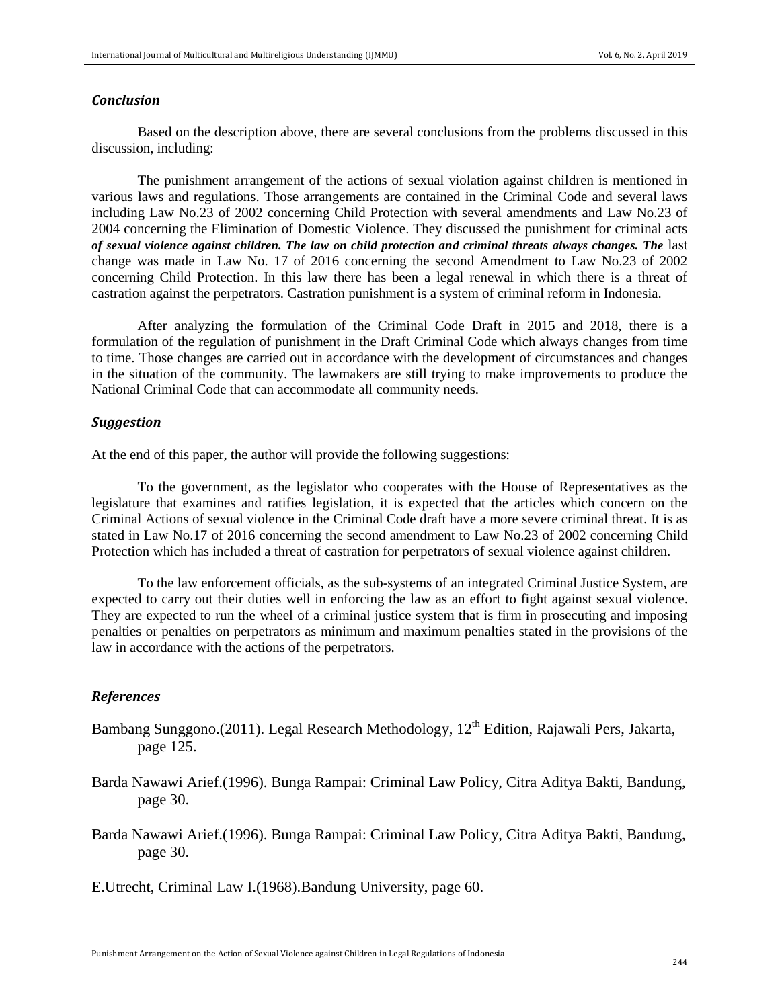#### *Conclusion*

Based on the description above, there are several conclusions from the problems discussed in this discussion, including:

The punishment arrangement of the actions of sexual violation against children is mentioned in various laws and regulations. Those arrangements are contained in the Criminal Code and several laws including Law No.23 of 2002 concerning Child Protection with several amendments and Law No.23 of 2004 concerning the Elimination of Domestic Violence. They discussed the punishment for criminal acts *of sexual violence against children. The law on child protection and criminal threats always changes. The* last change was made in Law No. 17 of 2016 concerning the second Amendment to Law No.23 of 2002 concerning Child Protection. In this law there has been a legal renewal in which there is a threat of castration against the perpetrators. Castration punishment is a system of criminal reform in Indonesia.

After analyzing the formulation of the Criminal Code Draft in 2015 and 2018, there is a formulation of the regulation of punishment in the Draft Criminal Code which always changes from time to time. Those changes are carried out in accordance with the development of circumstances and changes in the situation of the community. The lawmakers are still trying to make improvements to produce the National Criminal Code that can accommodate all community needs.

#### *Suggestion*

At the end of this paper, the author will provide the following suggestions:

To the government, as the legislator who cooperates with the House of Representatives as the legislature that examines and ratifies legislation, it is expected that the articles which concern on the Criminal Actions of sexual violence in the Criminal Code draft have a more severe criminal threat. It is as stated in Law No.17 of 2016 concerning the second amendment to Law No.23 of 2002 concerning Child Protection which has included a threat of castration for perpetrators of sexual violence against children.

To the law enforcement officials, as the sub-systems of an integrated Criminal Justice System, are expected to carry out their duties well in enforcing the law as an effort to fight against sexual violence. They are expected to run the wheel of a criminal justice system that is firm in prosecuting and imposing penalties or penalties on perpetrators as minimum and maximum penalties stated in the provisions of the law in accordance with the actions of the perpetrators.

#### *References*

- Bambang Sunggono.(2011). Legal Research Methodology, 12<sup>th</sup> Edition, Rajawali Pers, Jakarta, page 125.
- Barda Nawawi Arief.(1996). Bunga Rampai: Criminal Law Policy, Citra Aditya Bakti, Bandung, page 30.
- Barda Nawawi Arief.(1996). Bunga Rampai: Criminal Law Policy, Citra Aditya Bakti, Bandung, page 30.

E.Utrecht, Criminal Law I.(1968).Bandung University, page 60.